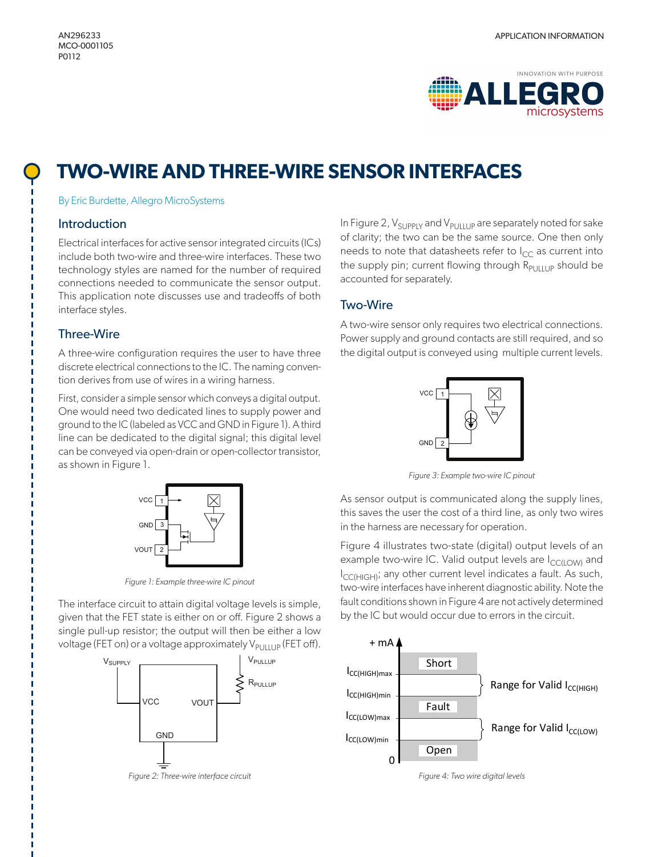

# **TWO-WIRE AND THREE-WIRE SENSOR INTERFACES**

By Eric Burdette, Allegro MicroSystems

## **Introduction**

Electrical interfaces for active sensor integrated circuits (ICs) include both two-wire and three-wire interfaces. These two technology styles are named for the number of required connections needed to communicate the sensor output. This application note discusses use and tradeoffs of both interface styles.

# Three-Wire

A three-wire configuration requires the user to have three discrete electrical connections to the IC. The naming convention derives from use of wires in a wiring harness.

First, consider a simple sensor which conveys a digital output. One would need two dedicated lines to supply power and ground to the IC (labeled as VCC and GND in Figure 1). A third line can be dedicated to the digital signal; this digital level can be conveyed via open-drain or open-collector transistor, as shown in Figure 1.



*Figure 1: Example three-wire IC pinout*

The interface circuit to attain digital voltage levels is simple, given that the FET state is either on or off. Figure 2 shows a single pull-up resistor; the output will then be either a low voltage (FET on) or a voltage approximately  $V_{\text{PlHUP}}$  (FET off).



In Figure 2,  $V_{\text{SUPPLY}}$  and  $V_{\text{PULLUP}}$  are separately noted for sake of clarity; the two can be the same source. One then only needs to note that datasheets refer to  $I_{CC}$  as current into the supply pin; current flowing through  $R_{\text{PlHUP}}$  should be accounted for separately.

# Two-Wire

A two-wire sensor only requires two electrical connections. Power supply and ground contacts are still required, and so the digital output is conveyed using multiple current levels.



*Figure 3: Example two-wire IC pinout*

As sensor output is communicated along the supply lines, this saves the user the cost of a third line, as only two wires in the harness are necessary for operation.

Figure 4 illustrates two-state (digital) output levels of an example two-wire IC. Valid output levels are I<sub>CC(LOW)</sub> and I<sub>CC(HIGH)</sub>; any other current level indicates a fault. As such, two-wire interfaces have inherent diagnostic ability. Note the fault conditions shown in Figure 4 are not actively determined by the IC but would occur due to errors in the circuit.



*Figure 4: Two wire digital levels*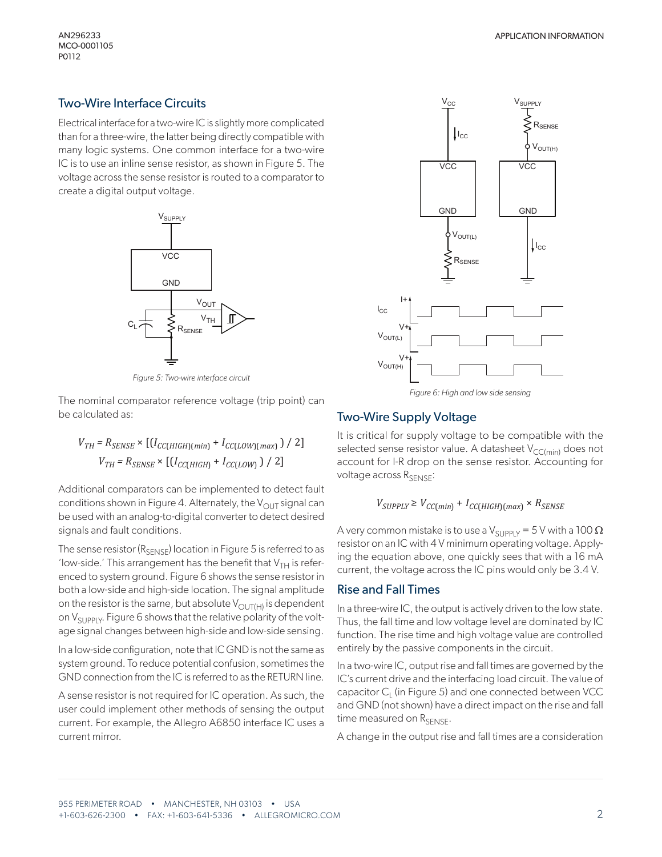## Two-Wire Interface Circuits

Electrical interface for a two-wire IC is slightly more complicated than for a three-wire, the latter being directly compatible with many logic systems. One common interface for a two-wire IC is to use an inline sense resistor, as shown in Figure 5. The voltage across the sense resistor is routed to a comparator to create a digital output voltage.



*Figure 5: Two-wire interface circuit*

The nominal comparator reference voltage (trip point) can be calculated as:

$$
V_{TH} = R_{SENSE} \times [(I_{CC(HIGH)(min)} + I_{CC(LOW)(max)}) / 2]
$$
  

$$
V_{TH} = R_{SENSE} \times [(I_{CC(HIGH)} + I_{CC(LOW)}) / 2]
$$

Additional comparators can be implemented to detect fault conditions shown in Figure 4. Alternately, the  $V_{\text{OUT}}$  signal can be used with an analog-to-digital converter to detect desired signals and fault conditions.

The sense resistor ( $R_{\text{SENSE}}$ ) location in Figure 5 is referred to as 'low-side.' This arrangement has the benefit that  $V_{TH}$  is referenced to system ground. Figure 6 shows the sense resistor in both a low-side and high-side location. The signal amplitude on the resistor is the same, but absolute  $V_{\text{OUT(H)}}$  is dependent on  $V_{\text{SUPPIY}}$ . Figure 6 shows that the relative polarity of the voltage signal changes between high-side and low-side sensing.

In a low-side configuration, note that IC GND is not the same as system ground. To reduce potential confusion, sometimes the GND connection from the IC is referred to as the RETURN line.

A sense resistor is not required for IC operation. As such, the user could implement other methods of sensing the output current. For example, the Allegro A6850 interface IC uses a current mirror.



#### Two-Wire Supply Voltage

It is critical for supply voltage to be compatible with the selected sense resistor value. A datasheet  $V_{CC(min)}$  does not account for I-R drop on the sense resistor. Accounting for voltage across R<sub>SENSE</sub>:

#### $V_{SUPPLY} \geq V_{CC(min)} + I_{CC(HIGH)(max)} \times R_{SENSE}$

A very common mistake is to use a V<sub>SUPPLY</sub> = 5 V with a 100  $\Omega$ resistor on an IC with 4 V minimum operating voltage. Applying the equation above, one quickly sees that with a 16 mA current, the voltage across the IC pins would only be 3.4 V.

#### Rise and Fall Times

In a three-wire IC, the output is actively driven to the low state. Thus, the fall time and low voltage level are dominated by IC function. The rise time and high voltage value are controlled entirely by the passive components in the circuit.

In a two-wire IC, output rise and fall times are governed by the IC's current drive and the interfacing load circuit. The value of capacitor  $C_1$  (in Figure 5) and one connected between VCC and GND (not shown) have a direct impact on the rise and fall time measured on RSENSE.

A change in the output rise and fall times are a consideration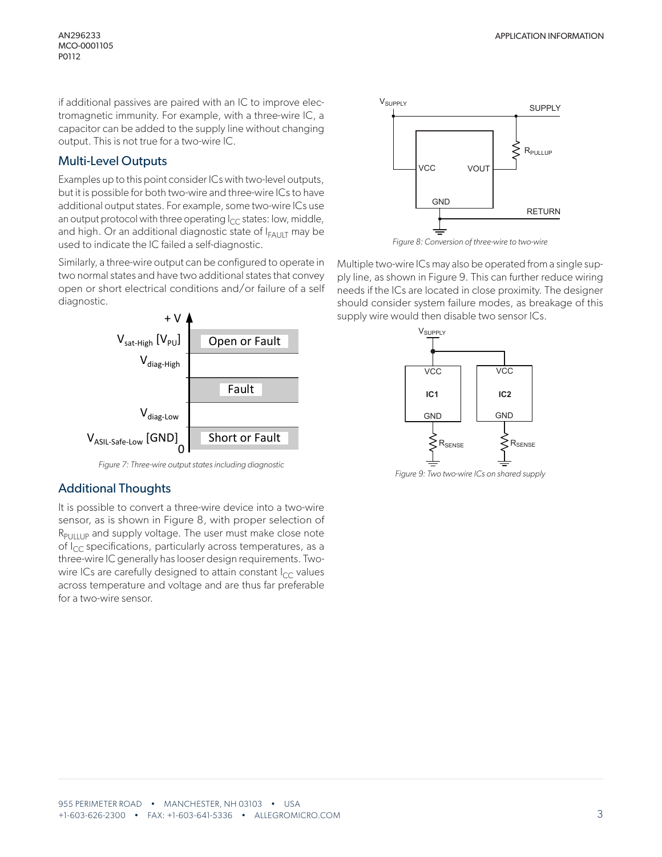MCO-0001105 P0112

if additional passives are paired with an IC to improve electromagnetic immunity. For example, with a three-wire IC, a capacitor can be added to the supply line without changing output. This is not true for a two-wire IC.

## Multi-Level Outputs

Examples up to this point consider ICs with two-level outputs, but it is possible for both two-wire and three-wire ICs to have additional output states. For example, some two-wire ICs use an output protocol with three operating  $I_{CC}$  states: low, middle, and high. Or an additional diagnostic state of  $I_{FAULT}$  may be used to indicate the IC failed a self-diagnostic.

Similarly, a three-wire output can be configured to operate in two normal states and have two additional states that convey open or short electrical conditions and/or failure of a self diagnostic.



*Figure 7: Three-wire output states including diagnostic*

# Additional Thoughts

It is possible to convert a three-wire device into a two-wire sensor, as is shown in Figure 8, with proper selection of  $R_{\text{PlHUP}}$  and supply voltage. The user must make close note of  $I_{CC}$  specifications, particularly across temperatures, as a three-wire IC generally has looser design requirements. Twowire ICs are carefully designed to attain constant  $I_{CC}$  values across temperature and voltage and are thus far preferable for a two-wire sensor.



*Figure 8: Conversion of three-wire to two-wire*

Multiple two-wire ICs may also be operated from a single supply line, as shown in Figure 9. This can further reduce wiring needs if the ICs are located in close proximity. The designer should consider system failure modes, as breakage of this supply wire would then disable two sensor ICs.



*Figure 9: Two two-wire ICs on shared supply*